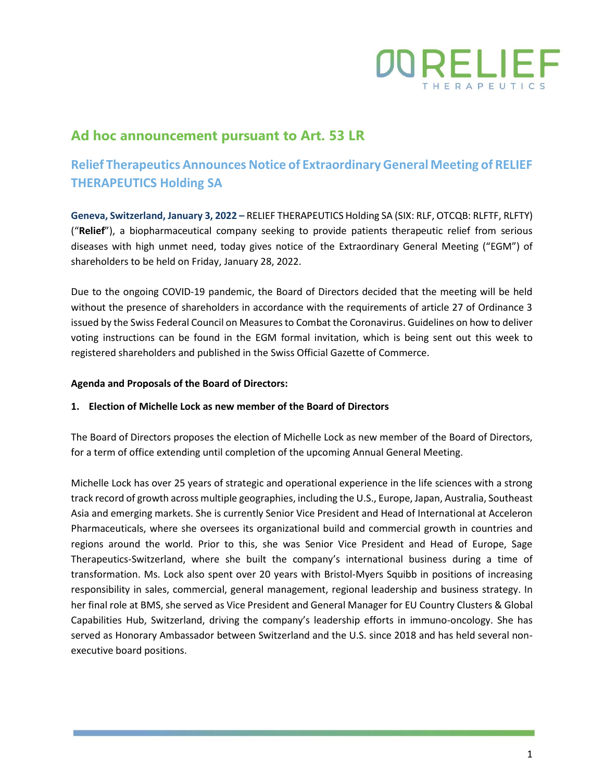

## **Ad hoc announcement pursuant to Art. 53 LR**

# **Relief Therapeutics Announces Notice of Extraordinary General Meeting of RELIEF THERAPEUTICS Holding SA**

**Geneva, Switzerland, January 3, 2022 –** RELIEF THERAPEUTICS Holding SA (SIX: RLF, OTCQB: RLFTF, RLFTY) ("**Relief**"), a biopharmaceutical company seeking to provide patients therapeutic relief from serious diseases with high unmet need, today gives notice of the Extraordinary General Meeting ("EGM") of shareholders to be held on Friday, January 28, 2022.

Due to the ongoing COVID-19 pandemic, the Board of Directors decided that the meeting will be held without the presence of shareholders in accordance with the requirements of article 27 of Ordinance 3 issued by the Swiss Federal Council on Measures to Combat the Coronavirus. Guidelines on how to deliver voting instructions can be found in the EGM formal invitation, which is being sent out this week to registered shareholders and published in the Swiss Official Gazette of Commerce.

### **Agenda and Proposals of the Board of Directors:**

### **1. Election of Michelle Lock as new member of the Board of Directors**

The Board of Directors proposes the election of Michelle Lock as new member of the Board of Directors, for a term of office extending until completion of the upcoming Annual General Meeting.

Michelle Lock has over 25 years of strategic and operational experience in the life sciences with a strong track record of growth across multiple geographies, including the U.S., Europe, Japan, Australia, Southeast Asia and emerging markets. She is currently Senior Vice President and Head of International at Acceleron Pharmaceuticals, where she oversees its organizational build and commercial growth in countries and regions around the world. Prior to this, she was Senior Vice President and Head of Europe, Sage Therapeutics-Switzerland, where she built the company's international business during a time of transformation. Ms. Lock also spent over 20 years with Bristol-Myers Squibb in positions of increasing responsibility in sales, commercial, general management, regional leadership and business strategy. In her final role at BMS, she served as Vice President and General Manager for EU Country Clusters & Global Capabilities Hub, Switzerland, driving the company's leadership efforts in immuno-oncology. She has served as Honorary Ambassador between Switzerland and the U.S. since 2018 and has held several nonexecutive board positions.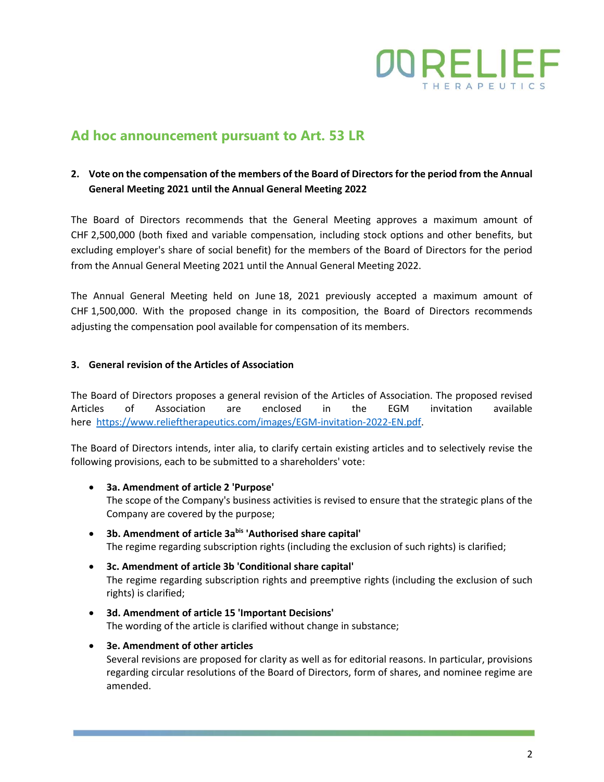

### **Ad hoc announcement pursuant to Art. 53 LR**

### **2. Vote on the compensation of the members of the Board of Directors for the period from the Annual General Meeting 2021 until the Annual General Meeting 2022**

The Board of Directors recommends that the General Meeting approves a maximum amount of CHF 2,500,000 (both fixed and variable compensation, including stock options and other benefits, but excluding employer's share of social benefit) for the members of the Board of Directors for the period from the Annual General Meeting 2021 until the Annual General Meeting 2022.

The Annual General Meeting held on June 18, 2021 previously accepted a maximum amount of CHF 1,500,000. With the proposed change in its composition, the Board of Directors recommends adjusting the compensation pool available for compensation of its members.

### **3. General revision of the Articles of Association**

The Board of Directors proposes a general revision of the Articles of Association. The proposed revised Articles of Association are enclosed in the EGM invitation available here [https://www.relieftherapeutics.com/images/EGM-invitation-2022-EN.pdf.](https://www.relieftherapeutics.com/images/EGM-invitation-2022-EN.pdf)

The Board of Directors intends, inter alia, to clarify certain existing articles and to selectively revise the following provisions, each to be submitted to a shareholders' vote:

- **3a. Amendment of article 2 'Purpose'** The scope of the Company's business activities is revised to ensure that the strategic plans of the Company are covered by the purpose;
- **3b. Amendment of article 3abis 'Authorised share capital'** The regime regarding subscription rights (including the exclusion of such rights) is clarified;
- **3c. Amendment of article 3b 'Conditional share capital'** The regime regarding subscription rights and preemptive rights (including the exclusion of such rights) is clarified;
- **3d. Amendment of article 15 'Important Decisions'** The wording of the article is clarified without change in substance;
- **3e. Amendment of other articles**

Several revisions are proposed for clarity as well as for editorial reasons. In particular, provisions regarding circular resolutions of the Board of Directors, form of shares, and nominee regime are amended.